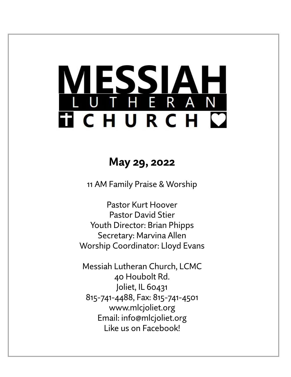# LESSIAH<br>UTHERAN **FICHURCH C**

# **May 29, 2022**

11 AM Family Praise & Worship

Pastor Kurt Hoover Pastor David Stier Youth Director: Brian Phipps Secretary: Marvina Allen Worship Coordinator: Lloyd Evans

Messiah Lutheran Church, LCMC 40 Houbolt Rd. Joliet, IL 60431 815-741-4488, Fax: 815-741-4501 www.mlcjoliet.org Email: info@mlcjoliet.org Like us on Facebook!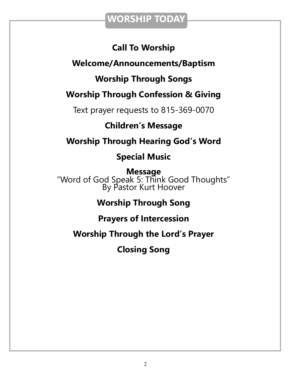## **WORSHIP TODAY**

## **Call To Worship**

## **Welcome/Announcements/Baptism**

## **Worship Through Songs**

## **Worship Through Confession & Giving**

Text prayer requests to 815-369-0070

## **Children's Message**

## **Worship Through Hearing God's Word**

## **Special Music**

**Message** "Word of God Speak 5: Think Good Thoughts" By Pastor Kurt Hoover

## **Worship Through Song**

### **Prayers of Intercession**

## **Worship Through the Lord's Prayer**

**Closing Song**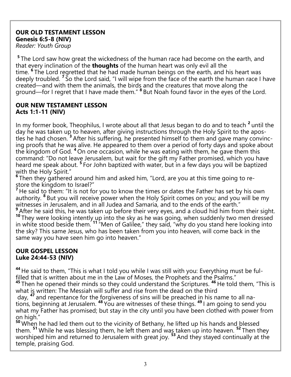#### **OUR OLD TESTAMENT LESSON Genesis 6:5-8 (NIV)** *Reader: Youth Group*

<sup>5</sup> The Lord saw how great the wickedness of the human race had become on the earth, and that every inclination of the **thoughts** of the human heart was only evil all the time. **<sup>6</sup>** The Lord regretted that he had made human beings on the earth, and his heart was deeply troubled. **<sup>7</sup>** So the Lord said, "I will wipe from the face of the earth the human race I have created—and with them the animals, the birds and the creatures that move along the ground—for I regret that I have made them." **8** But Noah found favor in the eyes of the Lord.

#### **OUR NEW TESTAMENT LESSON Acts 1:1-11 (NIV)**

In my former book, Theophilus, I wrote about all that Jesus began to do and to teach <sup>2</sup> until the day he was taken up to heaven, after giving instructions through the Holy Spirit to the apostles he had chosen. **<sup>3</sup>** After his suffering, he presented himself to them and gave many convincing proofs that he was alive. He appeared to them over a period of forty days and spoke about the kingdom of God. **<sup>4</sup>** On one occasion, while he was eating with them, he gave them this command: "Do not leave Jerusalem, but wait for the gift my Father promised, which you have heard me speak about. **<sup>5</sup>** For John baptized with water, but in a few days you will be baptized with the Holy Spirit."

<sup>6</sup> Then they gathered around him and asked him, "Lord, are you at this time going to restore the kingdom to Israel?"

**<sup>7</sup>** He said to them: "It is not for you to know the times or dates the Father has set by his own authority. <sup>8</sup> But you will receive power when the Holy Spirit comes on you; and you will be my witnesses in Jerusalem, and in all Judea and Samaria, and to the ends of the earth."

**<sup>9</sup>** After he said this, he was taken up before their very eyes, and a cloud hid him from their sight. <sup>10</sup> They were looking intently up into the sky as he was going, when suddenly two men dressed in white stood beside them. **<sup>11</sup>** "Men of Galilee," they said, "why do you stand here looking into the sky? This same Jesus, who has been taken from you into heaven, will come back in the same way you have seen him go into heaven."

#### **OUR GOSPEL LESSON Luke 24:44-53 (NIV)**

**<sup>44</sup>** He said to them, "This is what I told you while I was still with you: Everything must be fulfilled that is written about me in the Law of Moses, the Prophets and the Psalms."

**<sup>45</sup>** Then he opened their minds so they could understand the Scriptures. **<sup>46</sup>** He told them, "This is what is written: The Messiah will suffer and rise from the dead on the third

day, **<sup>47</sup>** and repentance for the forgiveness of sins will be preached in his name to all nations, beginning at Jerusalem. **<sup>48</sup>** You are witnesses of these things. **<sup>49</sup>** I am going to send you what my Father has promised; but stay in the city until you have been clothed with power from on high."

<sup>50</sup> When he had led them out to the vicinity of Bethany, he lifted up his hands and blessed them. **<sup>51</sup>** While he was blessing them, he left them and was taken up into heaven. **<sup>52</sup>** Then they worshiped him and returned to Jerusalem with great joy. <sup>53</sup> And they stayed continually at the temple, praising God.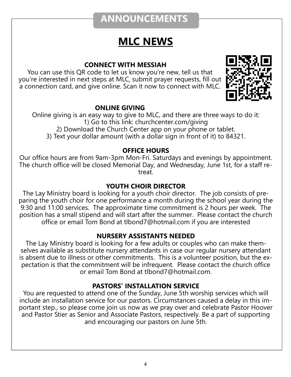## **ANNOUNCEMENTS**

# **MLC NEWS**

#### **CONNECT WITH MESSIAH**

You can use this QR code to let us know you're new, tell us that you're interested in next steps at MLC, submit prayer requests, fill out a connection card, and give online. Scan it now to connect with MLC.



#### **ONLINE GIVING**

Online giving is an easy way to give to MLC, and there are three ways to do it: 1) Go to this link: churchcenter.com/giving 2) Download the Church Center app on your phone or tablet. 3) Text your dollar amount (with a dollar sign in front of it) to 84321.

#### **OFFICE HOURS**

Our office hours are from 9am-3pm Mon-Fri. Saturdays and evenings by appointment. The church office will be closed Memorial Day, and Wednesday, June 1st, for a staff retreat.

#### **YOUTH CHOIR DIRECTOR**

The Lay Ministry board is looking for a youth choir director. The job consists of preparing the youth choir for one performance a month during the school year during the 9:30 and 11:00 services. The approximate time commitment is 2 hours per week. The position has a small stipend and will start after the summer. Please contact the church office or email Tom Bond at tlbond7@hotmail.com if you are interested

#### **NURSERY ASSISTANTS NEEDED**

The Lay Ministry board is looking for a few adults or couples who can make themselves available as substitute nursery attendants in case our regular nursery attendant is absent due to illness or other commitments. This is a volunteer position, but the expectation is that the commitment will be infrequent. Please contact the church office or email Tom Bond at tlbond7@hotmail.com.

#### **PASTORS' INSTALLATION SERVICE**

You are requested to attend one of the Sunday, June 5th worship services which will include an installation service for our pastors. Circumstances caused a delay in this important step., so please come join us now as we pray over and celebrate Pastor Hoover and Pastor Stier as Senior and Associate Pastors, respectively. Be a part of supporting and encouraging our pastors on June 5th.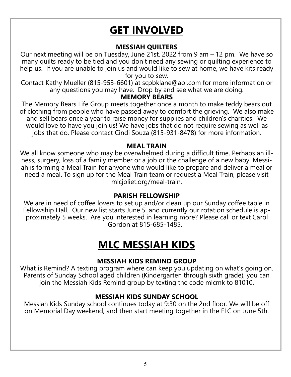# **GET INVOLVED**

#### **MESSIAH QUILTERS**

Our next meeting will be on Tuesday, June 21st, 2022 from 9 am – 12 pm. We have so many quilts ready to be tied and you don't need any sewing or quilting experience to help us. If you are unable to join us and would like to sew at home, we have kits ready for you to sew.

Contact Kathy Mueller (815-953-6601) at scpbklane@aol.com for more information or any questions you may have. Drop by and see what we are doing.

#### **MEMORY BEARS**

The Memory Bears Life Group meets together once a month to make teddy bears out of clothing from people who have passed away to comfort the grieving. We also make and sell bears once a year to raise money for supplies and children's charities. We would love to have you join us! We have jobs that do not require sewing as well as jobs that do. Please contact Cindi Souza (815-931-8478) for more information.

#### **MEAL TRAIN**

We all know someone who may be overwhelmed during a difficult time. Perhaps an illness, surgery, loss of a family member or a job or the challenge of a new baby. Messiah is forming a Meal Train for anyone who would like to prepare and deliver a meal or need a meal. To sign up for the Meal Train team or request a Meal Train, please visit mlcjoliet.org/meal-train.

#### **PARISH FELLOWSHIP**

We are in need of coffee lovers to set up and/or clean up our Sunday coffee table in Fellowship Hall. Our new list starts June 5, and currently our rotation schedule is approximately 5 weeks. Are you interested in learning more? Please call or text Carol Gordon at 815-685-1485.

# **MLC MESSIAH KIDS**

#### **MESSIAH KIDS REMIND GROUP**

What is Remind? A texting program where can keep you updating on what's going on. Parents of Sunday School aged children (Kindergarten through sixth grade), you can join the Messiah Kids Remind group by texting the code mlcmk to 81010.

#### **MESSIAH KIDS SUNDAY SCHOOL**

Messiah Kids Sunday school continues today at 9:30 on the 2nd floor. We will be off on Memorial Day weekend, and then start meeting together in the FLC on June 5th.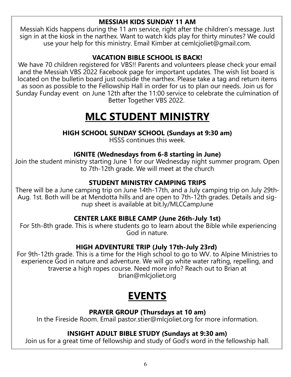#### **MESSIAH KIDS SUNDAY 11 AM**

Messiah Kids happens during the 11 am service, right after the children's message. Just sign in at the kiosk in the narthex. Want to watch kids play for thirty minutes? We could use your help for this ministry. Email Kimber at cemlcjoliet@gmail.com.

#### **VACATION BIBLE SCHOOL IS BACK!**

We have 70 children registered for VBS!! Parents and volunteers please check your email and the Messiah VBS 2022 Facebook page for important updates. The wish list board is located on the bulletin board just outside the narthex. Please take a tag and return items as soon as possible to the Fellowship Hall in order for us to plan our needs. Join us for Sunday Funday event on June 12th after the 11:00 service to celebrate the culmination of Better Together VBS 2022.

# **MLC STUDENT MINISTRY**

#### **HIGH SCHOOL SUNDAY SCHOOL (Sundays at 9:30 am)**

HSSS continues this week.

#### **IGNITE (Wednesdays from 6-8 starting in June)**

Join the student ministry starting June 1 for our Wednesday night summer program. Open to 7th-12th grade. We will meet at the church

#### **STUDENT MINISTRY CAMPING TRIPS**

There will be a June camping trip on June 14th-17th, and a July camping trip on July 29th-Aug. 1st. Both will be at Mendotta hills and are open to 7th-12th grades. Details and signup sheet is available at bit.ly/MLCCampJune

#### **CENTER LAKE BIBLE CAMP (June 26th-July 1st)**

For 5th-8th grade. This is where students go to learn about the Bible while experiencing God in nature.

#### **HIGH ADVENTURE TRIP (July 17th-July 23rd)**

For 9th-12th grade. This is a time for the High school to go to WV. to Alpine Ministries to experience God in nature and adventure. We will go white water rafting, repelling, and traverse a high ropes course. Need more info? Reach out to Brian at brian@mlcjoliet.org

# **EVENTS**

#### **PRAYER GROUP (Thursdays at 10 am)**

In the Fireside Room. Email pastor.stier@mlcjoliet.org for more information.

#### **INSIGHT ADULT BIBLE STUDY (Sundays at 9:30 am)**

Join us for a great time of fellowship and study of God's word in the fellowship hall.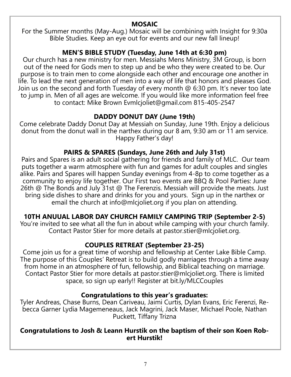#### **MOSAIC**

For the Summer months (May-Aug.) Mosaic will be combining with Insight for 9:30a Bible Studies. Keep an eye out for events and our new fall lineup!

#### **MEN'S BIBLE STUDY (Tuesday, June 14th at 6:30 pm)**

Our church has a new ministry for men. Messiahs Mens Ministry, 3M Group, is born out of the need for Gods men to step up and be who they were created to be. Our purpose is to train men to come alongside each other and encourage one another in life. To lead the next generation of men into a way of life that honors and pleases God. Join us on the second and forth Tuesday of every month @ 6:30 pm. It's never too late to jump in. Men of all ages are welcome. If you would like more information feel free to contact: Mike Brown Evmlcjoliet@gmail.com 815-405-2547

#### **DADDY DONUT DAY (June 19th)**

Come celebrate Daddy Donut Day at Messiah on Sunday, June 19th. Enjoy a delicious donut from the donut wall in the narthex during our 8 am, 9:30 am or 11 am service. Happy Father's day!

#### **PAIRS & SPARES (Sundays, June 26th and July 31st)**

Pairs and Spares is an adult social gathering for friends and family of MLC. Our team puts together a warm atmosphere with fun and games for adult couples and singles alike. Pairs and Spares will happen Sunday evenings from 4-8p to come together as a community to enjoy life together. Our First two events are BBQ & Pool Parties: June 26th @ The Bonds and July 31st @ The Ferenzis. Messiah will provide the meats. Just bring side dishes to share and drinks for you and yours. Sign up in the narthex or email the church at info@mlcjoliet.org if you plan on attending.

#### **10TH ANUUAL LABOR DAY CHURCH FAMILY CAMPING TRIP (September 2-5)**

You're invited to see what all the fun in about while camping with your church family. Contact Pastor Stier for more details at pastor.stier@mlcjoliet.org.

#### **COUPLES RETREAT (September 23-25)**

Come join us for a great time of worship and fellowship at Center Lake Bible Camp. The purpose of this Couples' Retreat is to build godly marriages through a time away from home in an atmosphere of fun, fellowship, and Biblical teaching on marriage. Contact Pastor Stier for more details at pastor.stier@mlcjoliet.org. There is limited space, so sign up early!! Register at bit.ly/MLCCouples

#### **Congratulations to this year's graduates:**

Tyler Andreas, Chase Burns, Dean Cariveau, Jaimi Curtis, Dylan Evans, Eric Ferenzi, Rebecca Garner Lydia Magemeneaus, Jack Magrini, Jack Maser, Michael Poole, Nathan Puckett, Tiffany Trizna

#### **Congratulations to Josh & Leann Hurstik on the baptism of their son Koen Robert Hurstik!**